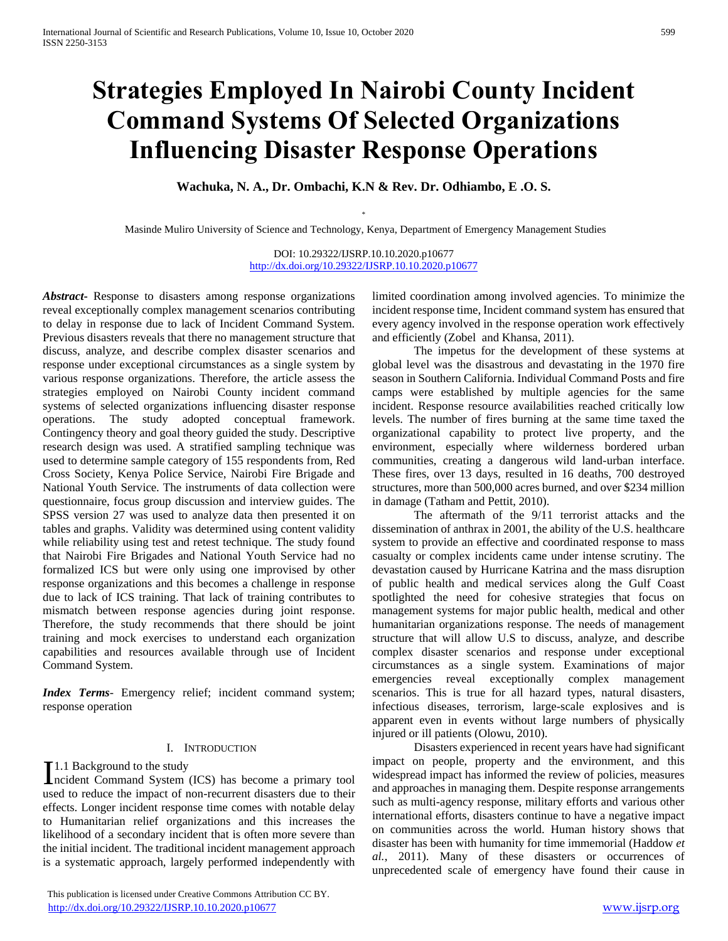# **Strategies Employed In Nairobi County Incident Command Systems Of Selected Organizations Influencing Disaster Response Operations**

**Wachuka, N. A., Dr. Ombachi, K.N & Rev. Dr. Odhiambo, E .O. S.**

\* Masinde Muliro University of Science and Technology, Kenya, Department of Emergency Management Studies

> DOI: 10.29322/IJSRP.10.10.2020.p10677 <http://dx.doi.org/10.29322/IJSRP.10.10.2020.p10677>

*Abstract***-** Response to disasters among response organizations reveal exceptionally complex management scenarios contributing to delay in response due to lack of Incident Command System. Previous disasters reveals that there no management structure that discuss, analyze, and describe complex disaster scenarios and response under exceptional circumstances as a single system by various response organizations. Therefore, the article assess the strategies employed on Nairobi County incident command systems of selected organizations influencing disaster response operations. The study adopted conceptual framework. Contingency theory and goal theory guided the study. Descriptive research design was used. A stratified sampling technique was used to determine sample category of 155 respondents from, Red Cross Society, Kenya Police Service, Nairobi Fire Brigade and National Youth Service. The instruments of data collection were questionnaire, focus group discussion and interview guides. The SPSS version 27 was used to analyze data then presented it on tables and graphs. Validity was determined using content validity while reliability using test and retest technique. The study found that Nairobi Fire Brigades and National Youth Service had no formalized ICS but were only using one improvised by other response organizations and this becomes a challenge in response due to lack of ICS training. That lack of training contributes to mismatch between response agencies during joint response. Therefore, the study recommends that there should be joint training and mock exercises to understand each organization capabilities and resources available through use of Incident Command System.

*Index Terms*- Emergency relief; incident command system; response operation

## I. INTRODUCTION

1.1 Background to the study

**I**.1 Background to the study<br> **I**ncident Command System (ICS) has become a primary tool used to reduce the impact of non-recurrent disasters due to their effects. Longer incident response time comes with notable delay to Humanitarian relief organizations and this increases the likelihood of a secondary incident that is often more severe than the initial incident. The traditional incident management approach is a systematic approach, largely performed independently with

 This publication is licensed under Creative Commons Attribution CC BY. <http://dx.doi.org/10.29322/IJSRP.10.10.2020.p10677> [www.ijsrp.org](http://ijsrp.org/)

limited coordination among involved agencies. To minimize the incident response time, Incident command system has ensured that every agency involved in the response operation work effectively and efficiently (Zobel and Khansa, 2011).

 The impetus for the development of these systems at global level was the disastrous and devastating in the 1970 fire season in Southern California. Individual Command Posts and fire camps were established by multiple agencies for the same incident. Response resource availabilities reached critically low levels. The number of fires burning at the same time taxed the organizational capability to protect live property, and the environment, especially where wilderness bordered urban communities, creating a dangerous wild land-urban interface. These fires, over 13 days, resulted in 16 deaths, 700 destroyed structures, more than 500,000 acres burned, and over \$234 million in damage (Tatham and Pettit, 2010).

 The aftermath of the 9/11 terrorist attacks and the dissemination of anthrax in 2001, the ability of the U.S. healthcare system to provide an effective and coordinated response to mass casualty or complex incidents came under intense scrutiny. The devastation caused by Hurricane Katrina and the mass disruption of public health and medical services along the Gulf Coast spotlighted the need for cohesive strategies that focus on management systems for major public health, medical and other humanitarian organizations response. The needs of management structure that will allow U.S to discuss, analyze, and describe complex disaster scenarios and response under exceptional circumstances as a single system. Examinations of major emergencies reveal exceptionally complex management scenarios. This is true for all hazard types, natural disasters, infectious diseases, terrorism, large-scale explosives and is apparent even in events without large numbers of physically injured or ill patients (Olowu, 2010).

 Disasters experienced in recent years have had significant impact on people, property and the environment, and this widespread impact has informed the review of policies, measures and approaches in managing them. Despite response arrangements such as multi-agency response, military efforts and various other international efforts, disasters continue to have a negative impact on communities across the world. Human history shows that disaster has been with humanity for time immemorial (Haddow *et al.*, 2011). Many of these disasters or occurrences of unprecedented scale of emergency have found their cause in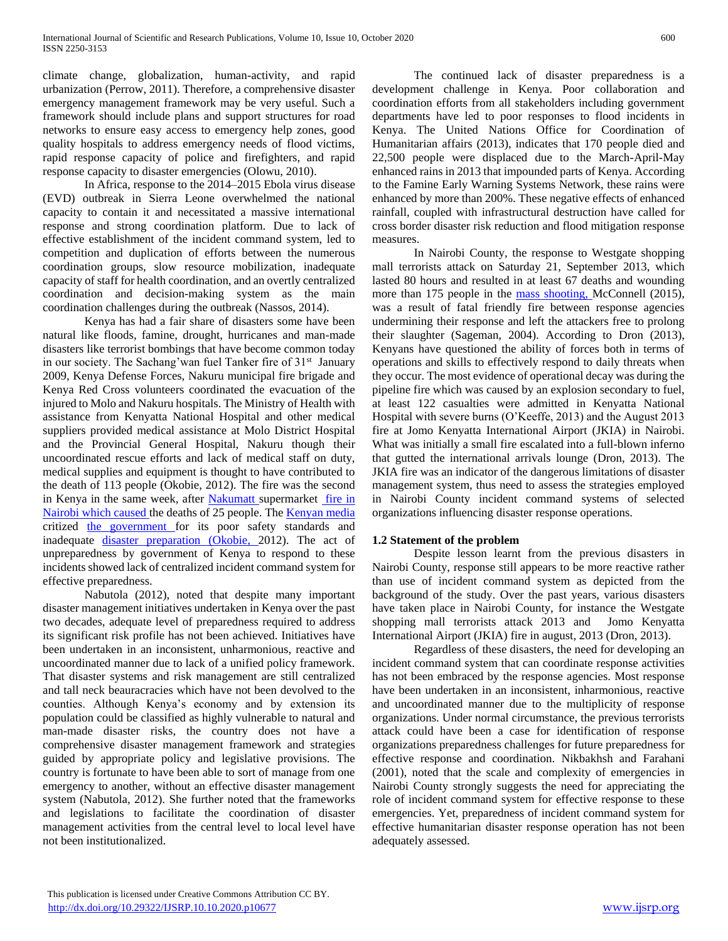climate change, globalization, human-activity, and rapid urbanization (Perrow, 2011). Therefore, a comprehensive disaster emergency management framework may be very useful. Such a framework should include plans and support structures for road networks to ensure easy access to emergency help zones, good quality hospitals to address emergency needs of flood victims, rapid response capacity of police and firefighters, and rapid response capacity to disaster emergencies (Olowu, 2010).

 In Africa, response to the 2014–2015 Ebola virus disease (EVD) outbreak in Sierra Leone overwhelmed the national capacity to contain it and necessitated a massive international response and strong coordination platform. Due to lack of effective establishment of the incident command system, led to competition and duplication of efforts between the numerous coordination groups, slow resource mobilization, inadequate capacity of staff for health coordination, and an overtly centralized coordination and decision-making system as the main coordination challenges during the outbreak (Nassos, 2014).

 Kenya has had a fair share of disasters some have been natural like floods, famine, drought, hurricanes and man-made disasters like terrorist bombings that have become common today in our society. The Sachang'wan fuel Tanker fire of 31st January 2009, Kenya Defense Forces, Nakuru municipal fire brigade and Kenya Red Cross volunteers coordinated the evacuation of the injured to Molo and Nakuru hospitals. The Ministry of Health with assistance from Kenyatta National Hospital and other medical suppliers provided medical assistance at Molo District Hospital and the Provincial General Hospital, Nakuru though their uncoordinated rescue efforts and lack of medical staff on duty, medical supplies and equipment is thought to have contributed to the death of 113 people (Okobie, 2012). The fire was the second in Kenya in the same week, after [Nakumatt s](https://en.wikipedia.org/wiki/Nakumatt)upermarket [fire in](https://en.wikipedia.org/wiki/2009_Nakumatt_supermarket_fire)  [Nairobi which caused t](https://en.wikipedia.org/wiki/2009_Nakumatt_supermarket_fire)he deaths of 25 people. The Kenyan media critized [the government f](https://en.wikipedia.org/wiki/Politics_of_Kenya)or its poor safety standards and inadequate [disaster preparation \(Okobie, 2](https://en.wikipedia.org/wiki/Emergency_management)012). The act of unpreparedness by government of Kenya to respond to these incidents showed lack of centralized incident command system for effective preparedness.

 Nabutola (2012), noted that despite many important disaster management initiatives undertaken in Kenya over the past two decades, adequate level of preparedness required to address its significant risk profile has not been achieved. Initiatives have been undertaken in an inconsistent, unharmonious, reactive and uncoordinated manner due to lack of a unified policy framework. That disaster systems and risk management are still centralized and tall neck beauracracies which have not been devolved to the counties. Although Kenya's economy and by extension its population could be classified as highly vulnerable to natural and man-made disaster risks, the country does not have a comprehensive disaster management framework and strategies guided by appropriate policy and legislative provisions. The country is fortunate to have been able to sort of manage from one emergency to another, without an effective disaster management system (Nabutola, 2012). She further noted that the frameworks and legislations to facilitate the coordination of disaster management activities from the central level to local level have not been institutionalized.

 The continued lack of disaster preparedness is a development challenge in Kenya. Poor collaboration and coordination efforts from all stakeholders including government departments have led to poor responses to flood incidents in Kenya. The United Nations Office for Coordination of Humanitarian affairs (2013), indicates that 170 people died and 22,500 people were displaced due to the March-April-May enhanced rains in 2013 that impounded parts of Kenya. According to the Famine Early Warning Systems Network, these rains were enhanced by more than 200%. These negative effects of enhanced rainfall, coupled with infrastructural destruction have called for cross border disaster risk reduction and flood mitigation response measures.

 In Nairobi County, the response to Westgate shopping mall terrorists attack on Saturday 21, September 2013, which lasted 80 hours and resulted in at least 67 deaths and wounding more than 175 people in the [mass shooting, M](https://en.wikipedia.org/wiki/Mass_shooting)cConnell (2015), was a result of fatal friendly fire between response agencies undermining their response and left the attackers free to prolong their slaughter (Sageman, 2004). According to Dron (2013), Kenyans have questioned the ability of forces both in terms of operations and skills to effectively respond to daily threats when they occur. The most evidence of operational decay was during the pipeline fire which was caused by an explosion secondary to fuel, at least 122 casualties were admitted in Kenyatta National Hospital with severe burns (O'Keeffe, 2013) and the August 2013 fire at Jomo Kenyatta International Airport (JKIA) in Nairobi. What was initially a small fire escalated into a full-blown inferno that gutted the international arrivals lounge (Dron, 2013). The JKIA fire was an indicator of the dangerous limitations of disaster management system, thus need to assess the strategies employed in Nairobi County incident command systems of selected organizations influencing disaster response operations.

#### **1.2 Statement of the problem**

 Despite lesson learnt from the previous disasters in Nairobi County, response still appears to be more reactive rather than use of incident command system as depicted from the background of the study. Over the past years, various disasters have taken place in Nairobi County, for instance the Westgate shopping mall terrorists attack 2013 and Jomo Kenyatta International Airport (JKIA) fire in august, 2013 (Dron, 2013).

 Regardless of these disasters, the need for developing an incident command system that can coordinate response activities has not been embraced by the response agencies. Most response have been undertaken in an inconsistent, inharmonious, reactive and uncoordinated manner due to the multiplicity of response organizations. Under normal circumstance, the previous terrorists attack could have been a case for identification of response organizations preparedness challenges for future preparedness for effective response and coordination. Nikbakhsh and Farahani (2001), noted that the scale and complexity of emergencies in Nairobi County strongly suggests the need for appreciating the role of incident command system for effective response to these emergencies. Yet, preparedness of incident command system for effective humanitarian disaster response operation has not been adequately assessed.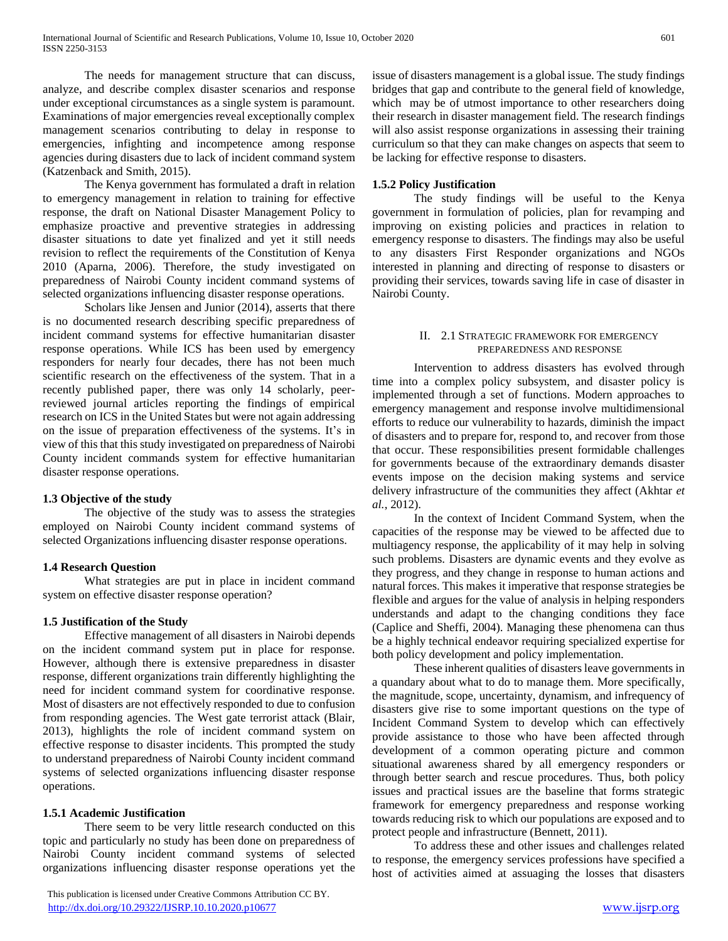The needs for management structure that can discuss, analyze, and describe complex disaster scenarios and response under exceptional circumstances as a single system is paramount. Examinations of major emergencies reveal exceptionally complex management scenarios contributing to delay in response to emergencies, infighting and incompetence among response agencies during disasters due to lack of incident command system (Katzenback and Smith, 2015).

 The Kenya government has formulated a draft in relation to emergency management in relation to training for effective response, the draft on National Disaster Management Policy to emphasize proactive and preventive strategies in addressing disaster situations to date yet finalized and yet it still needs revision to reflect the requirements of the Constitution of Kenya 2010 (Aparna, 2006). Therefore, the study investigated on preparedness of Nairobi County incident command systems of selected organizations influencing disaster response operations.

 Scholars like Jensen and Junior (2014), asserts that there is no documented research describing specific preparedness of incident command systems for effective humanitarian disaster response operations. While ICS has been used by emergency responders for nearly four decades, there has not been much scientific research on the effectiveness of the system. That in a recently published paper, there was only 14 scholarly, peerreviewed journal articles reporting the findings of empirical research on ICS in the United States but were not again addressing on the issue of preparation effectiveness of the systems. It's in view of this that this study investigated on preparedness of Nairobi County incident commands system for effective humanitarian disaster response operations.

#### **1.3 Objective of the study**

 The objective of the study was to assess the strategies employed on Nairobi County incident command systems of selected Organizations influencing disaster response operations.

## **1.4 Research Question**

 What strategies are put in place in incident command system on effective disaster response operation?

#### **1.5 Justification of the Study**

 Effective management of all disasters in Nairobi depends on the incident command system put in place for response. However, although there is extensive preparedness in disaster response, different organizations train differently highlighting the need for incident command system for coordinative response. Most of disasters are not effectively responded to due to confusion from responding agencies. The West gate terrorist attack (Blair, 2013), highlights the role of incident command system on effective response to disaster incidents. This prompted the study to understand preparedness of Nairobi County incident command systems of selected organizations influencing disaster response operations.

#### **1.5.1 Academic Justification**

 There seem to be very little research conducted on this topic and particularly no study has been done on preparedness of Nairobi County incident command systems of selected organizations influencing disaster response operations yet the

 This publication is licensed under Creative Commons Attribution CC BY. http://dx.doi<u>.org/10.29322/IJSRP.10.10.2020.p10677</u> [www.ijsrp.org](http://ijsrp.org/)

issue of disasters management is a global issue. The study findings bridges that gap and contribute to the general field of knowledge, which may be of utmost importance to other researchers doing their research in disaster management field. The research findings will also assist response organizations in assessing their training curriculum so that they can make changes on aspects that seem to be lacking for effective response to disasters.

## **1.5.2 Policy Justification**

 The study findings will be useful to the Kenya government in formulation of policies, plan for revamping and improving on existing policies and practices in relation to emergency response to disasters. The findings may also be useful to any disasters First Responder organizations and NGOs interested in planning and directing of response to disasters or providing their services, towards saving life in case of disaster in Nairobi County.

#### II. 2.1 STRATEGIC FRAMEWORK FOR EMERGENCY PREPAREDNESS AND RESPONSE

 Intervention to address disasters has evolved through time into a complex policy subsystem, and disaster policy is implemented through a set of functions. Modern approaches to emergency management and response involve multidimensional efforts to reduce our vulnerability to hazards, diminish the impact of disasters and to prepare for, respond to, and recover from those that occur. These responsibilities present formidable challenges for governments because of the extraordinary demands disaster events impose on the decision making systems and service delivery infrastructure of the communities they affect (Akhtar *et al.*, 2012).

 In the context of Incident Command System, when the capacities of the response may be viewed to be affected due to multiagency response, the applicability of it may help in solving such problems. Disasters are dynamic events and they evolve as they progress, and they change in response to human actions and natural forces. This makes it imperative that response strategies be flexible and argues for the value of analysis in helping responders understands and adapt to the changing conditions they face (Caplice and Sheffi, 2004). Managing these phenomena can thus be a highly technical endeavor requiring specialized expertise for both policy development and policy implementation.

 These inherent qualities of disasters leave governments in a quandary about what to do to manage them. More specifically, the magnitude, scope, uncertainty, dynamism, and infrequency of disasters give rise to some important questions on the type of Incident Command System to develop which can effectively provide assistance to those who have been affected through development of a common operating picture and common situational awareness shared by all emergency responders or through better search and rescue procedures. Thus, both policy issues and practical issues are the baseline that forms strategic framework for emergency preparedness and response working towards reducing risk to which our populations are exposed and to protect people and infrastructure (Bennett, 2011).

 To address these and other issues and challenges related to response, the emergency services professions have specified a host of activities aimed at assuaging the losses that disasters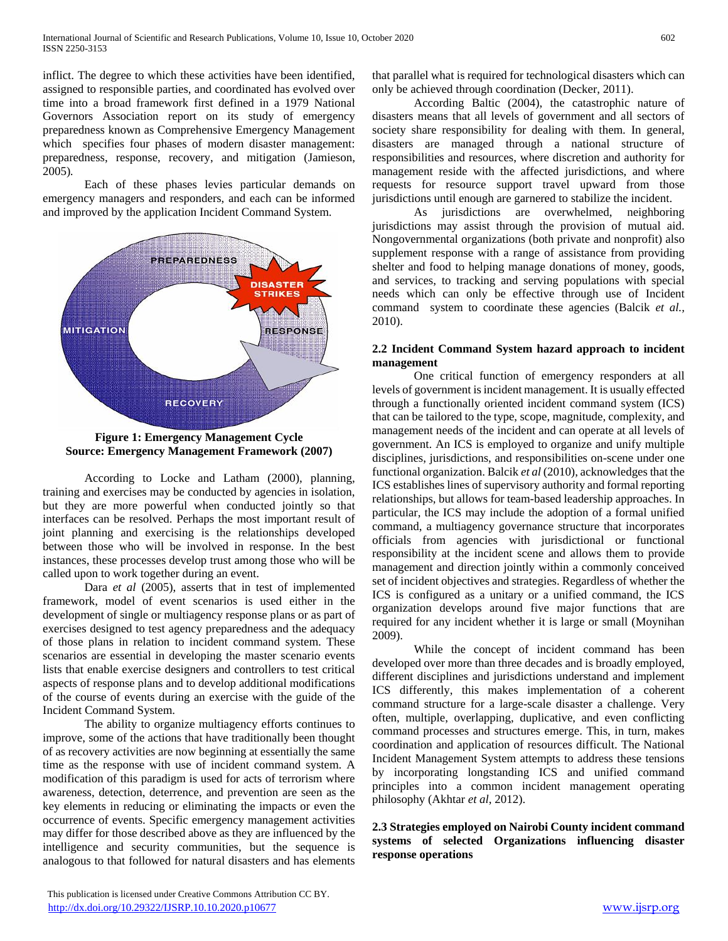inflict. The degree to which these activities have been identified, assigned to responsible parties, and coordinated has evolved over time into a broad framework first defined in a 1979 National Governors Association report on its study of emergency preparedness known as Comprehensive Emergency Management which specifies four phases of modern disaster management: preparedness, response, recovery, and mitigation (Jamieson, 2005)*.*

 Each of these phases levies particular demands on emergency managers and responders, and each can be informed and improved by the application Incident Command System.



**Figure 1: Emergency Management Cycle Source: Emergency Management Framework (2007)**

 According to Locke and Latham (2000), planning, training and exercises may be conducted by agencies in isolation, but they are more powerful when conducted jointly so that interfaces can be resolved. Perhaps the most important result of joint planning and exercising is the relationships developed between those who will be involved in response. In the best instances, these processes develop trust among those who will be called upon to work together during an event.

 Dara *et al* (2005), asserts that in test of implemented framework, model of event scenarios is used either in the development of single or multiagency response plans or as part of exercises designed to test agency preparedness and the adequacy of those plans in relation to incident command system. These scenarios are essential in developing the master scenario events lists that enable exercise designers and controllers to test critical aspects of response plans and to develop additional modifications of the course of events during an exercise with the guide of the Incident Command System.

 The ability to organize multiagency efforts continues to improve, some of the actions that have traditionally been thought of as recovery activities are now beginning at essentially the same time as the response with use of incident command system. A modification of this paradigm is used for acts of terrorism where awareness, detection, deterrence, and prevention are seen as the key elements in reducing or eliminating the impacts or even the occurrence of events. Specific emergency management activities may differ for those described above as they are influenced by the intelligence and security communities, but the sequence is analogous to that followed for natural disasters and has elements that parallel what is required for technological disasters which can only be achieved through coordination (Decker, 2011).

 According Baltic (2004), the catastrophic nature of disasters means that all levels of government and all sectors of society share responsibility for dealing with them. In general, disasters are managed through a national structure of responsibilities and resources, where discretion and authority for management reside with the affected jurisdictions, and where requests for resource support travel upward from those jurisdictions until enough are garnered to stabilize the incident.

 As jurisdictions are overwhelmed, neighboring jurisdictions may assist through the provision of mutual aid. Nongovernmental organizations (both private and nonprofit) also supplement response with a range of assistance from providing shelter and food to helping manage donations of money, goods, and services, to tracking and serving populations with special needs which can only be effective through use of Incident command system to coordinate these agencies (Balcik *et al.,* 2010).

## **2.2 Incident Command System hazard approach to incident management**

 One critical function of emergency responders at all levels of government is incident management. It is usually effected through a functionally oriented incident command system (ICS) that can be tailored to the type, scope, magnitude, complexity, and management needs of the incident and can operate at all levels of government. An ICS is employed to organize and unify multiple disciplines, jurisdictions, and responsibilities on-scene under one functional organization. Balcik *et al* (2010), acknowledges that the ICS establishes lines of supervisory authority and formal reporting relationships, but allows for team-based leadership approaches. In particular, the ICS may include the adoption of a formal unified command, a multiagency governance structure that incorporates officials from agencies with jurisdictional or functional responsibility at the incident scene and allows them to provide management and direction jointly within a commonly conceived set of incident objectives and strategies. Regardless of whether the ICS is configured as a unitary or a unified command, the ICS organization develops around five major functions that are required for any incident whether it is large or small (Moynihan 2009).

 While the concept of incident command has been developed over more than three decades and is broadly employed, different disciplines and jurisdictions understand and implement ICS differently, this makes implementation of a coherent command structure for a large-scale disaster a challenge. Very often, multiple, overlapping, duplicative, and even conflicting command processes and structures emerge. This, in turn, makes coordination and application of resources difficult. The National Incident Management System attempts to address these tensions by incorporating longstanding ICS and unified command principles into a common incident management operating philosophy (Akhtar *et al*, 2012).

**2.3 Strategies employed on Nairobi County incident command systems of selected Organizations influencing disaster response operations**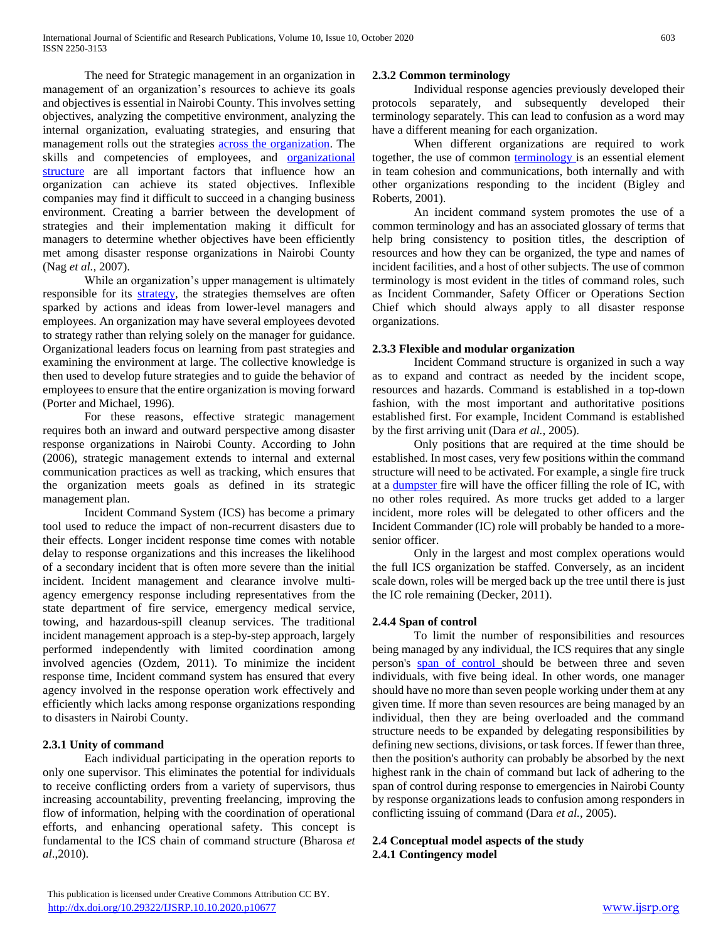The need for Strategic management in an organization in management of an organization's resources to achieve its goals and objectives is essential in Nairobi County. This involves setting objectives, analyzing the competitive environment, analyzing the internal organization, evaluating strategies, and ensuring that management rolls out the strategies [across the organization.](https://www.investopedia.com/terms/m/mckinsey-7s-model.asp) The skills and competencies of employees, and [organizational](https://www.investopedia.com/terms/o/organizational-structure.asp)  [structure](https://www.investopedia.com/terms/o/organizational-structure.asp) are all important factors that influence how an organization can achieve its stated objectives. Inflexible companies may find it difficult to succeed in a changing business environment. Creating a barrier between the development of strategies and their implementation making it difficult for managers to determine whether objectives have been efficiently met among disaster response organizations in Nairobi County (Nag *et al.,* 2007).

 While an organization's upper management is ultimately responsible for its **strategy**, the strategies themselves are often sparked by actions and ideas from lower-level managers and employees. An organization may have several employees devoted to strategy rather than relying solely on the manager for guidance. Organizational leaders focus on learning from past strategies and examining the environment at large. The collective knowledge is then used to develop future strategies and to guide the behavior of employees to ensure that the entire organization is moving forward (Porter and Michael, 1996).

 For these reasons, effective strategic management requires both an inward and outward perspective among disaster response organizations in Nairobi County. According to John (2006), strategic management extends to internal and external communication practices as well as tracking, which ensures that the organization meets goals as defined in its strategic management plan.

 Incident Command System (ICS) has become a primary tool used to reduce the impact of non-recurrent disasters due to their effects. Longer incident response time comes with notable delay to response organizations and this increases the likelihood of a secondary incident that is often more severe than the initial incident. Incident management and clearance involve multiagency emergency response including representatives from the state department of fire service, emergency medical service, towing, and hazardous-spill cleanup services. The traditional incident management approach is a step-by-step approach, largely performed independently with limited coordination among involved agencies (Ozdem, 2011). To minimize the incident response time, Incident command system has ensured that every agency involved in the response operation work effectively and efficiently which lacks among response organizations responding to disasters in Nairobi County.

# **2.3.1 Unity of command**

 Each individual participating in the operation reports to only one supervisor. This eliminates the potential for individuals to receive conflicting orders from a variety of supervisors, thus increasing accountability, preventing freelancing, improving the flow of information, helping with the coordination of operational efforts, and enhancing operational safety. This concept is fundamental to the ICS chain of command structure (Bharosa *et al*.,2010).

## **2.3.2 Common terminology**

 Individual response agencies previously developed their protocols separately, and subsequently developed their terminology separately. This can lead to confusion as a word may have a different meaning for each organization.

 When different organizations are required to work together, the use of common [terminology i](https://en.wikipedia.org/wiki/Terminology)s an essential element in team cohesion and communications, both internally and with other organizations responding to the incident (Bigley and Roberts, 2001).

 An incident command system promotes the use of a common terminology and has an associated glossary of terms that help bring consistency to position titles, the description of resources and how they can be organized, the type and names of incident facilities, and a host of other subjects. The use of common terminology is most evident in the titles of command roles, such as Incident Commander, Safety Officer or Operations Section Chief which should always apply to all disaster response organizations.

## **2.3.3 Flexible and modular organization**

 Incident Command structure is organized in such a way as to expand and contract as needed by the incident scope, resources and hazards. Command is established in a top-down fashion, with the most important and authoritative positions established first. For example, Incident Command is established by the first arriving unit (Dara *et al.*, 2005).

 Only positions that are required at the time should be established. In most cases, very few positions within the command structure will need to be activated. For example, a single fire truck at a [dumpster f](https://en.wikipedia.org/wiki/Dumpster)ire will have the officer filling the role of IC, with no other roles required. As more trucks get added to a larger incident, more roles will be delegated to other officers and the Incident Commander (IC) role will probably be handed to a moresenior officer.

 Only in the largest and most complex operations would the full ICS organization be staffed. Conversely, as an incident scale down, roles will be merged back up the tree until there is just the IC role remaining (Decker, 2011).

## **2.4.4 Span of control**

 To limit the number of responsibilities and resources being managed by any individual, the ICS requires that any single person's [span of control s](https://en.wikipedia.org/wiki/Span_of_control)hould be between three and seven individuals, with five being ideal. In other words, one manager should have no more than seven people working under them at any given time. If more than seven resources are being managed by an individual, then they are being overloaded and the command structure needs to be expanded by delegating responsibilities by defining new sections, divisions, or task forces. If fewer than three, then the position's authority can probably be absorbed by the next highest rank in the chain of command but lack of adhering to the span of control during response to emergencies in Nairobi County by response organizations leads to confusion among responders in conflicting issuing of command (Dara *et al.*, 2005).

## **2.4 Conceptual model aspects of the study 2.4.1 Contingency model**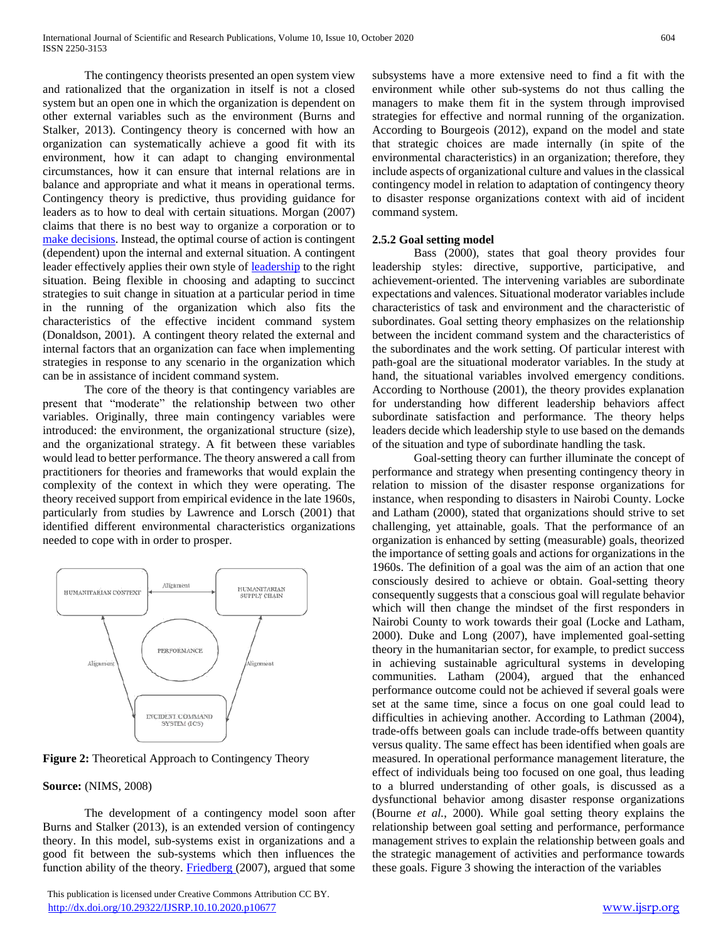The contingency theorists presented an open system view and rationalized that the organization in itself is not a closed system but an open one in which the organization is dependent on other external variables such as the environment (Burns and Stalker, 2013). Contingency theory is concerned with how an organization can systematically achieve a good fit with its environment, how it can adapt to changing environmental circumstances, how it can ensure that internal relations are in balance and appropriate and what it means in operational terms. Contingency theory is predictive, thus providing guidance for leaders as to how to deal with certain situations. Morgan (2007) claims that there is no best way to organize a corporation or to [make decisions.](https://en.wikipedia.org/wiki/Decision_making) Instead, the optimal course of action is contingent (dependent) upon the internal and external situation. A contingent leader effectively applies their own style of [leadership](https://en.wikipedia.org/wiki/Leadership) to the right situation. Being flexible in choosing and adapting to succinct strategies to suit change in situation at a particular period in time in the running of the organization which also fits the characteristics of the effective incident command system (Donaldson, 2001). A contingent theory related the external and internal factors that an organization can face when implementing strategies in response to any scenario in the organization which can be in assistance of incident command system.

 The core of the theory is that contingency variables are present that "moderate" the relationship between two other variables. Originally, three main contingency variables were introduced: the environment, the organizational structure (size), and the organizational strategy. A fit between these variables would lead to better performance. The theory answered a call from practitioners for theories and frameworks that would explain the complexity of the context in which they were operating. The theory received support from empirical evidence in the late 1960s, particularly from studies by Lawrence and Lorsch (2001) that identified different environmental characteristics organizations needed to cope with in order to prosper.



Figure 2: Theoretical Approach to Contingency Theory

#### **Source:** (NIMS, 2008)

 The development of a contingency model soon after Burns and Stalker (2013), is an extended version of contingency theory. In this model, sub-systems exist in organizations and a good fit between the sub-systems which then influences the function ability of the theory. Friedberg  $(2007)$ , argued that some subsystems have a more extensive need to find a fit with the environment while other sub-systems do not thus calling the managers to make them fit in the system through improvised strategies for effective and normal running of the organization. According to Bourgeois (2012), expand on the model and state that strategic choices are made internally (in spite of the environmental characteristics) in an organization; therefore, they include aspects of organizational culture and values in the classical contingency model in relation to adaptation of contingency theory to disaster response organizations context with aid of incident command system.

## **2.5.2 Goal setting model**

 Bass (2000), states that goal theory provides four leadership styles: directive, supportive, participative, and achievement-oriented. The intervening variables are subordinate expectations and valences. Situational moderator variables include characteristics of task and environment and the characteristic of subordinates. Goal setting theory emphasizes on the relationship between the incident command system and the characteristics of the subordinates and the work setting. Of particular interest with path-goal are the situational moderator variables. In the study at hand, the situational variables involved emergency conditions. According to Northouse (2001), the theory provides explanation for understanding how different leadership behaviors affect subordinate satisfaction and performance. The theory helps leaders decide which leadership style to use based on the demands of the situation and type of subordinate handling the task.

 Goal-setting theory can further illuminate the concept of performance and strategy when presenting contingency theory in relation to mission of the disaster response organizations for instance, when responding to disasters in Nairobi County. Locke and Latham (2000), stated that organizations should strive to set challenging, yet attainable, goals. That the performance of an organization is enhanced by setting (measurable) goals, theorized the importance of setting goals and actions for organizations in the 1960s. The definition of a goal was the aim of an action that one consciously desired to achieve or obtain. Goal-setting theory consequently suggests that a conscious goal will regulate behavior which will then change the mindset of the first responders in Nairobi County to work towards their goal (Locke and Latham, 2000). Duke and Long (2007), have implemented goal-setting theory in the humanitarian sector, for example, to predict success in achieving sustainable agricultural systems in developing communities. Latham (2004), argued that the enhanced performance outcome could not be achieved if several goals were set at the same time, since a focus on one goal could lead to difficulties in achieving another. According to Lathman (2004), trade-offs between goals can include trade-offs between quantity versus quality. The same effect has been identified when goals are measured. In operational performance management literature, the effect of individuals being too focused on one goal, thus leading to a blurred understanding of other goals, is discussed as a dysfunctional behavior among disaster response organizations (Bourne *et al.*, 2000). While goal setting theory explains the relationship between goal setting and performance, performance management strives to explain the relationship between goals and the strategic management of activities and performance towards these goals. Figure 3 showing the interaction of the variables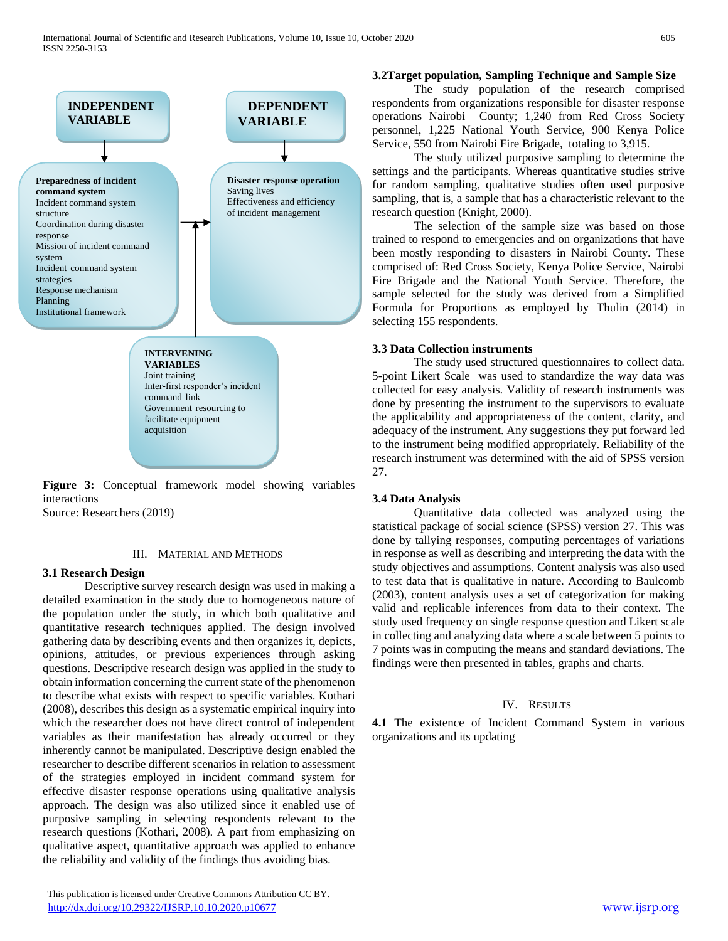

**Figure 3:** Conceptual framework model showing variables interactions

Source: Researchers (2019)

#### III. MATERIAL AND METHODS

## **3.1 Research Design**

 Descriptive survey research design was used in making a detailed examination in the study due to homogeneous nature of the population under the study, in which both qualitative and quantitative research techniques applied. The design involved gathering data by describing events and then organizes it, depicts, opinions, attitudes, or previous experiences through asking questions. Descriptive research design was applied in the study to obtain information concerning the current state of the phenomenon to describe what exists with respect to specific variables. Kothari (2008), describes this design as a systematic empirical inquiry into which the researcher does not have direct control of independent variables as their manifestation has already occurred or they inherently cannot be manipulated. Descriptive design enabled the researcher to describe different scenarios in relation to assessment of the strategies employed in incident command system for effective disaster response operations using qualitative analysis approach. The design was also utilized since it enabled use of purposive sampling in selecting respondents relevant to the research questions (Kothari, 2008). A part from emphasizing on qualitative aspect, quantitative approach was applied to enhance the reliability and validity of the findings thus avoiding bias.

## **3.2Target population***,* **Sampling Technique and Sample Size**

 The study population of the research comprised respondents from organizations responsible for disaster response operations Nairobi County; 1,240 from Red Cross Society personnel, 1,225 National Youth Service, 900 Kenya Police Service, 550 from Nairobi Fire Brigade, totaling to 3,915.

 The study utilized purposive sampling to determine the settings and the participants. Whereas quantitative studies strive for random sampling, qualitative studies often used purposive sampling, that is, a sample that has a characteristic relevant to the research question (Knight, 2000).

 The selection of the sample size was based on those trained to respond to emergencies and on organizations that have been mostly responding to disasters in Nairobi County. These comprised of: Red Cross Society, Kenya Police Service, Nairobi Fire Brigade and the National Youth Service. Therefore, the sample selected for the study was derived from a Simplified Formula for Proportions as employed by Thulin (2014) in selecting 155 respondents.

#### **3.3 Data Collection instruments**

 The study used structured questionnaires to collect data. 5-point Likert Scale was used to standardize the way data was collected for easy analysis. Validity of research instruments was done by presenting the instrument to the supervisors to evaluate the applicability and appropriateness of the content, clarity, and adequacy of the instrument. Any suggestions they put forward led to the instrument being modified appropriately. Reliability of the research instrument was determined with the aid of SPSS version 27.

#### **3.4 Data Analysis**

 Quantitative data collected was analyzed using the statistical package of social science (SPSS) version 27. This was done by tallying responses, computing percentages of variations in response as well as describing and interpreting the data with the study objectives and assumptions. Content analysis was also used to test data that is qualitative in nature. According to Baulcomb (2003), content analysis uses a set of categorization for making valid and replicable inferences from data to their context. The study used frequency on single response question and Likert scale in collecting and analyzing data where a scale between 5 points to 7 points was in computing the means and standard deviations. The findings were then presented in tables, graphs and charts.

#### IV. RESULTS

**4.1** The existence of Incident Command System in various organizations and its updating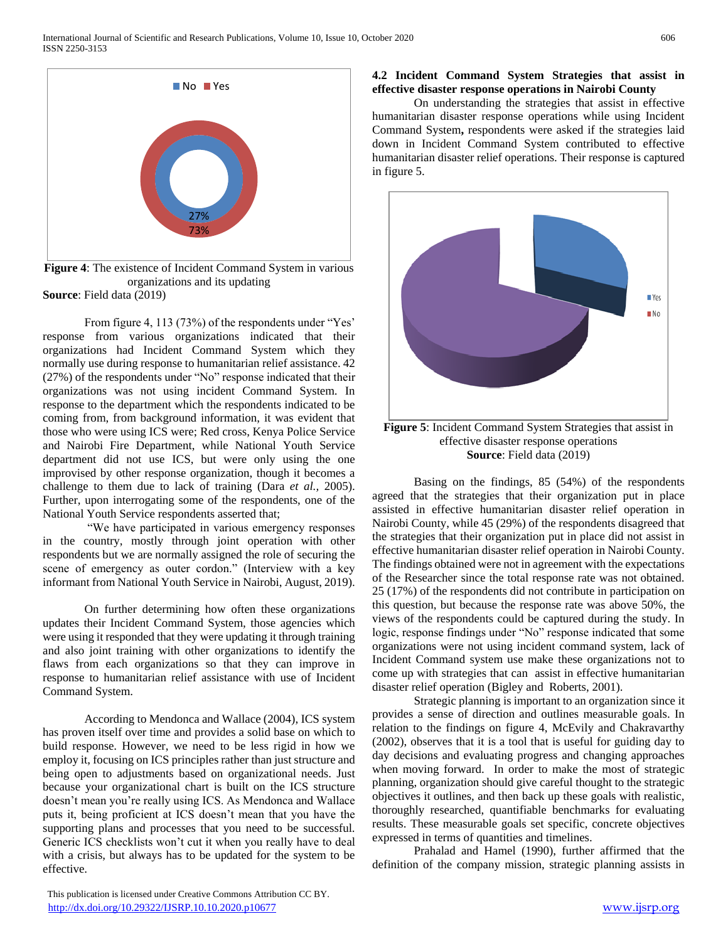

**Figure 4**: The existence of Incident Command System in various organizations and its updating **Source**: Field data (2019)

 From figure 4, 113 (73%) of the respondents under "Yes' response from various organizations indicated that their organizations had Incident Command System which they normally use during response to humanitarian relief assistance. 42 (27%) of the respondents under "No" response indicated that their organizations was not using incident Command System. In response to the department which the respondents indicated to be coming from, from background information, it was evident that those who were using ICS were; Red cross, Kenya Police Service and Nairobi Fire Department, while National Youth Service department did not use ICS, but were only using the one improvised by other response organization, though it becomes a challenge to them due to lack of training (Dara *et al.,* 2005). Further, upon interrogating some of the respondents, one of the National Youth Service respondents asserted that;

 "We have participated in various emergency responses in the country, mostly through joint operation with other respondents but we are normally assigned the role of securing the scene of emergency as outer cordon." (Interview with a key informant from National Youth Service in Nairobi, August, 2019).

 On further determining how often these organizations updates their Incident Command System, those agencies which were using it responded that they were updating it through training and also joint training with other organizations to identify the flaws from each organizations so that they can improve in response to humanitarian relief assistance with use of Incident Command System.

 According to Mendonca and Wallace (2004), ICS system has proven itself over time and provides a solid base on which to build response. However, we need to be less rigid in how we employ it, focusing on ICS principles rather than just structure and being open to adjustments based on organizational needs. Just because your organizational chart is built on the ICS structure doesn't mean you're really using ICS. As Mendonca and Wallace puts it, being proficient at ICS doesn't mean that you have the supporting plans and processes that you need to be successful. Generic ICS checklists won't cut it when you really have to deal with a crisis, but always has to be updated for the system to be effective.

## **4.2 Incident Command System Strategies that assist in effective disaster response operations in Nairobi County**

 On understanding the strategies that assist in effective humanitarian disaster response operations while using Incident Command System**,** respondents were asked if the strategies laid down in Incident Command System contributed to effective humanitarian disaster relief operations. Their response is captured in figure 5.



**Figure 5**: Incident Command System Strategies that assist in effective disaster response operations **Source**: Field data (2019)

 Basing on the findings, 85 (54%) of the respondents agreed that the strategies that their organization put in place assisted in effective humanitarian disaster relief operation in Nairobi County, while 45 (29%) of the respondents disagreed that the strategies that their organization put in place did not assist in effective humanitarian disaster relief operation in Nairobi County. The findings obtained were not in agreement with the expectations of the Researcher since the total response rate was not obtained. 25 (17%) of the respondents did not contribute in participation on this question, but because the response rate was above 50%, the views of the respondents could be captured during the study. In logic, response findings under "No" response indicated that some organizations were not using incident command system, lack of Incident Command system use make these organizations not to come up with strategies that can assist in effective humanitarian disaster relief operation (Bigley and Roberts, 2001).

 Strategic planning is important to an organization since it provides a sense of direction and outlines measurable goals. In relation to the findings on figure 4, McEvily and Chakravarthy (2002), observes that it is a tool that is useful for guiding day to day decisions and evaluating progress and changing approaches when moving forward. In order to make the most of strategic planning, organization should give careful thought to the strategic objectives it outlines, and then back up these goals with realistic, thoroughly researched, quantifiable benchmarks for evaluating results. These measurable goals set specific, concrete objectives expressed in terms of quantities and timelines.

 Prahalad and Hamel (1990), further affirmed that the definition of the company mission, strategic planning assists in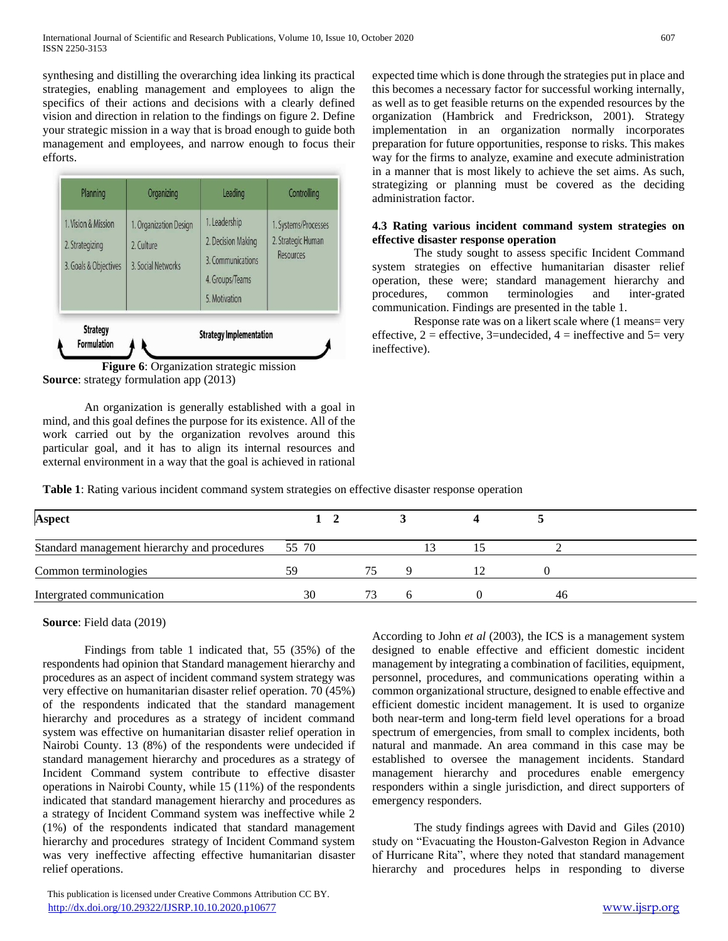synthesing and distilling the overarching idea linking its practical strategies, enabling management and employees to align the specifics of their actions and decisions with a clearly defined vision and direction in relation to the findings on figure 2. Define your strategic mission in a way that is broad enough to guide both management and employees, and narrow enough to focus their efforts.

| Planning                                                        | Organizing                                                 | Leading                                                                                      | Controlling                                                    |
|-----------------------------------------------------------------|------------------------------------------------------------|----------------------------------------------------------------------------------------------|----------------------------------------------------------------|
| 1. Vision & Mission<br>2. Strategizing<br>3. Goals & Objectives | 1. Organization Design<br>2. Culture<br>3. Social Networks | 1. Leadership<br>2. Decision Making<br>3. Communications<br>4. Groups/Teams<br>5. Motivation | 1. Systems/Processes<br>2. Strategic Human<br><b>Resources</b> |
| <b>Strategy</b><br><b>Formulation</b>                           |                                                            | <b>Strategy Implementation</b>                                                               |                                                                |

**Figure 6**: Organization strategic mission **Source**: strategy formulation app (2013)

 An organization is generally established with a goal in mind, and this goal defines the purpose for its existence. All of the work carried out by the organization revolves around this particular goal, and it has to align its internal resources and external environment in a way that the goal is achieved in rational

expected time which is done through the strategies put in place and this becomes a necessary factor for successful working internally, as well as to get feasible returns on the expended resources by the organization (Hambrick and Fredrickson, 2001). Strategy implementation in an organization normally incorporates preparation for future opportunities, response to risks. This makes way for the firms to analyze, examine and execute administration in a manner that is most likely to achieve the set aims. As such, strategizing or planning must be covered as the deciding administration factor.

## **4.3 Rating various incident command system strategies on effective disaster response operation**

 The study sought to assess specific Incident Command system strategies on effective humanitarian disaster relief operation, these were; standard management hierarchy and procedures, common terminologies and inter-grated communication. Findings are presented in the table 1.

 Response rate was on a likert scale where (1 means= very effective,  $2 =$  effective, 3=undecided,  $4 =$  ineffective and  $5 =$  very ineffective).

**Table 1**: Rating various incident command system strategies on effective disaster response operation

| <b>Aspect</b>                                |       |  |    |  |
|----------------------------------------------|-------|--|----|--|
| Standard management hierarchy and procedures | 55 70 |  |    |  |
| Common terminologies                         |       |  |    |  |
| Intergrated communication                    | 30    |  | 46 |  |

**Source**: Field data (2019)

 Findings from table 1 indicated that, 55 (35%) of the respondents had opinion that Standard management hierarchy and procedures as an aspect of incident command system strategy was very effective on humanitarian disaster relief operation. 70 (45%) of the respondents indicated that the standard management hierarchy and procedures as a strategy of incident command system was effective on humanitarian disaster relief operation in Nairobi County. 13 (8%) of the respondents were undecided if standard management hierarchy and procedures as a strategy of Incident Command system contribute to effective disaster operations in Nairobi County, while 15 (11%) of the respondents indicated that standard management hierarchy and procedures as a strategy of Incident Command system was ineffective while 2 (1%) of the respondents indicated that standard management hierarchy and procedures strategy of Incident Command system was very ineffective affecting effective humanitarian disaster relief operations.

According to John *et al* (2003), the ICS is a management system designed to enable effective and efficient domestic incident management by integrating a combination of facilities, equipment, personnel, procedures, and communications operating within a common organizational structure, designed to enable effective and efficient domestic incident management. It is used to organize both near-term and long-term field level operations for a broad spectrum of emergencies, from small to complex incidents, both natural and manmade. An area command in this case may be established to oversee the management incidents. Standard management hierarchy and procedures enable emergency responders within a single jurisdiction, and direct supporters of emergency responders.

 The study findings agrees with David and Giles (2010) study on "Evacuating the Houston-Galveston Region in Advance of Hurricane Rita", where they noted that standard management hierarchy and procedures helps in responding to diverse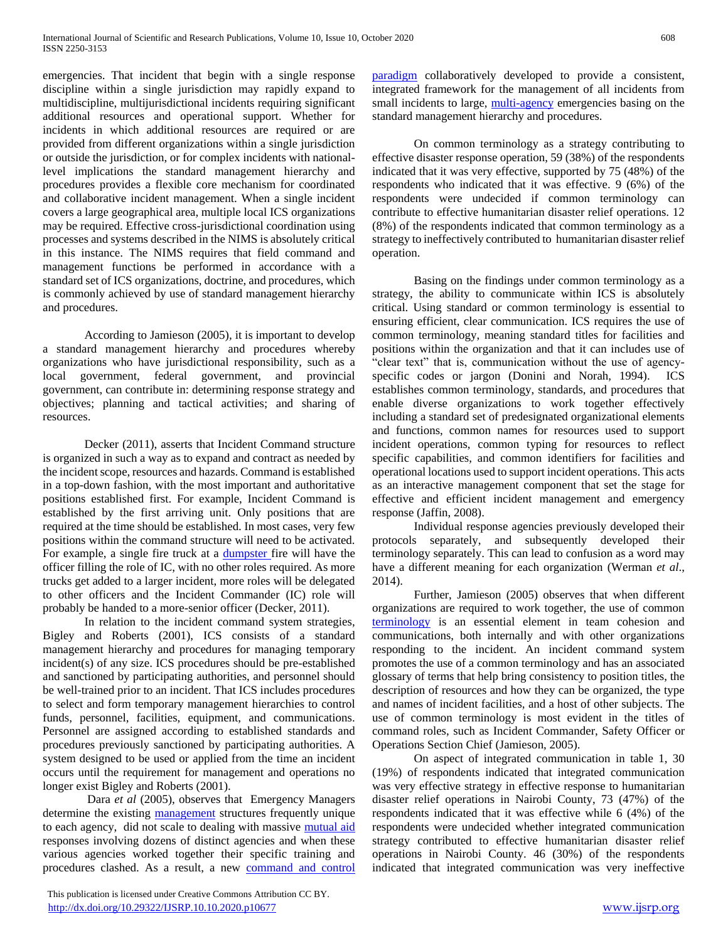emergencies. That incident that begin with a single response discipline within a single jurisdiction may rapidly expand to multidiscipline, multijurisdictional incidents requiring significant additional resources and operational support. Whether for incidents in which additional resources are required or are provided from different organizations within a single jurisdiction or outside the jurisdiction, or for complex incidents with nationallevel implications the standard management hierarchy and procedures provides a flexible core mechanism for coordinated and collaborative incident management. When a single incident covers a large geographical area, multiple local ICS organizations may be required. Effective cross-jurisdictional coordination using processes and systems described in the NIMS is absolutely critical in this instance. The NIMS requires that field command and management functions be performed in accordance with a standard set of ICS organizations, doctrine, and procedures, which is commonly achieved by use of standard management hierarchy and procedures.

 According to Jamieson (2005)*,* it is important to develop a standard management hierarchy and procedures whereby organizations who have jurisdictional responsibility, such as a local government, federal government, and provincial government, can contribute in: determining response strategy and objectives; planning and tactical activities; and sharing of resources.

 Decker (2011), asserts that Incident Command structure is organized in such a way as to expand and contract as needed by the incident scope, resources and hazards. Command is established in a top-down fashion, with the most important and authoritative positions established first. For example, Incident Command is established by the first arriving unit. Only positions that are required at the time should be established. In most cases, very few positions within the command structure will need to be activated. For example, a single fire truck at a **dumpster** fire will have the officer filling the role of IC, with no other roles required. As more trucks get added to a larger incident, more roles will be delegated to other officers and the Incident Commander (IC) role will probably be handed to a more-senior officer (Decker, 2011).

 In relation to the incident command system strategies, Bigley and Roberts (2001), ICS consists of a standard management hierarchy and procedures for managing temporary incident(s) of any size. ICS procedures should be pre-established and sanctioned by participating authorities, and personnel should be well-trained prior to an incident. That ICS includes procedures to select and form temporary management hierarchies to control funds, personnel, facilities, equipment, and communications. Personnel are assigned according to established standards and procedures previously sanctioned by participating authorities. A system designed to be used or applied from the time an incident occurs until the requirement for management and operations no longer exist Bigley and Roberts (2001).

Dara *et al* (2005), observes that Emergency Managers determine the existing **management** structures frequently unique to each agency, did not scale to dealing with massive [mutual aid](https://en.wikipedia.org/wiki/Mutual_aid_(emergency_services)) responses involving dozens of distinct agencies and when these various agencies worked together their specific training and procedures clashed. As a result, a new [command and control](https://en.wikipedia.org/wiki/Command_and_control)

 This publication is licensed under Creative Commons Attribution CC BY. <http://dx.doi.org/10.29322/IJSRP.10.10.2020.p10677> [www.ijsrp.org](http://ijsrp.org/)

[paradigm](https://en.wikipedia.org/wiki/Paradigm) collaboratively developed to provide a consistent, integrated framework for the management of all incidents from small incidents to large, [multi-agency](https://en.wikipedia.org/w/index.php?title=Multi-agency&action=edit&redlink=1) emergencies basing on the standard management hierarchy and procedures.

 On common terminology as a strategy contributing to effective disaster response operation, 59 (38%) of the respondents indicated that it was very effective, supported by 75 (48%) of the respondents who indicated that it was effective. 9 (6%) of the respondents were undecided if common terminology can contribute to effective humanitarian disaster relief operations. 12 (8%) of the respondents indicated that common terminology as a strategy to ineffectively contributed to humanitarian disaster relief operation.

 Basing on the findings under common terminology as a strategy, the ability to communicate within ICS is absolutely critical. Using standard or common terminology is essential to ensuring efficient, clear communication. ICS requires the use of common terminology, meaning standard titles for facilities and positions within the organization and that it can includes use of "clear text" that is, communication without the use of agencyspecific codes or jargon (Donini and Norah, 1994). ICS establishes common terminology, standards, and procedures that enable diverse organizations to work together effectively including a standard set of predesignated organizational elements and functions, common names for resources used to support incident operations, common typing for resources to reflect specific capabilities, and common identifiers for facilities and operational locations used to support incident operations. This acts as an interactive management component that set the stage for effective and efficient incident management and emergency response (Jaffin, 2008).

 Individual response agencies previously developed their protocols separately, and subsequently developed their terminology separately. This can lead to confusion as a word may have a different meaning for each organization (Werman *et al*., 2014).

 Further, Jamieson (2005) observes that when different organizations are required to work together, the use of common [terminology](https://en.wikipedia.org/wiki/Terminology) is an essential element in team cohesion and communications, both internally and with other organizations responding to the incident. An incident command system promotes the use of a common terminology and has an associated glossary of terms that help bring consistency to position titles, the description of resources and how they can be organized, the type and names of incident facilities, and a host of other subjects. The use of common terminology is most evident in the titles of command roles, such as Incident Commander, Safety Officer or Operations Section Chief (Jamieson, 2005).

 On aspect of integrated communication in table 1, 30 (19%) of respondents indicated that integrated communication was very effective strategy in effective response to humanitarian disaster relief operations in Nairobi County, 73 (47%) of the respondents indicated that it was effective while 6 (4%) of the respondents were undecided whether integrated communication strategy contributed to effective humanitarian disaster relief operations in Nairobi County. 46 (30%) of the respondents indicated that integrated communication was very ineffective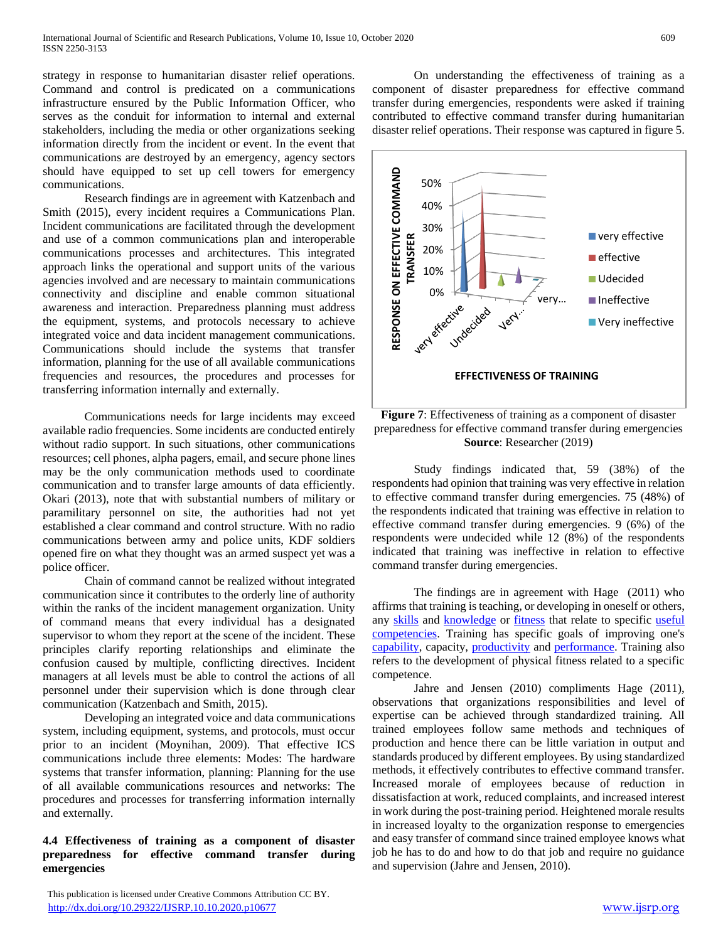strategy in response to humanitarian disaster relief operations. Command and control is predicated on a communications infrastructure ensured by the Public Information Officer, who serves as the conduit for information to internal and external stakeholders, including the media or other organizations seeking information directly from the incident or event. In the event that communications are destroyed by an emergency, agency sectors should have equipped to set up cell towers for emergency communications.

 Research findings are in agreement with Katzenbach and Smith (2015), every incident requires a Communications Plan. Incident communications are facilitated through the development and use of a common communications plan and interoperable communications processes and architectures. This integrated approach links the operational and support units of the various agencies involved and are necessary to maintain communications connectivity and discipline and enable common situational awareness and interaction. Preparedness planning must address the equipment, systems, and protocols necessary to achieve integrated voice and data incident management communications. Communications should include the systems that transfer information, planning for the use of all available communications frequencies and resources, the procedures and processes for transferring information internally and externally.

 Communications needs for large incidents may exceed available radio frequencies. Some incidents are conducted entirely without radio support. In such situations, other communications resources; cell phones, alpha pagers, email, and secure phone lines may be the only communication methods used to coordinate communication and to transfer large amounts of data efficiently. Okari (2013), note that with substantial numbers of military or paramilitary personnel on site, the authorities had not yet established a clear command and control structure. With no radio communications between army and police units, KDF soldiers opened fire on what they thought was an armed suspect yet was a police officer.

 Chain of command cannot be realized without integrated communication since it contributes to the orderly line of authority within the ranks of the incident management organization. Unity of command means that every individual has a designated supervisor to whom they report at the scene of the incident. These principles clarify reporting relationships and eliminate the confusion caused by multiple, conflicting directives. Incident managers at all levels must be able to control the actions of all personnel under their supervision which is done through clear communication (Katzenbach and Smith*,* 2015).

 Developing an integrated voice and data communications system, including equipment, systems, and protocols, must occur prior to an incident (Moynihan, 2009). That effective ICS communications include three elements: Modes: The hardware systems that transfer information, planning: Planning for the use of all available communications resources and networks: The procedures and processes for transferring information internally and externally.

## **4.4 Effectiveness of training as a component of disaster preparedness for effective command transfer during emergencies**

 This publication is licensed under Creative Commons Attribution CC BY. <http://dx.doi.org/10.29322/IJSRP.10.10.2020.p10677> [www.ijsrp.org](http://ijsrp.org/)

 On understanding the effectiveness of training as a component of disaster preparedness for effective command transfer during emergencies, respondents were asked if training contributed to effective command transfer during humanitarian disaster relief operations. Their response was captured in figure 5.



**EFFECTIVENESS OF TRAINING**

**Jery.** 

**0% K**<br>extractive

Undecided

10% 20% 30% 40% 50%

**RESPONSE ON EFFECTIVE COMMAND TRANSFER**

RESPONSE ON EFFECTIVE COMMAND

very…

very effective  $\blacksquare$  effective Udecided **Ineffective** 

**Very ineffective** 

 Study findings indicated that, 59 (38%) of the respondents had opinion that training was very effective in relation to effective command transfer during emergencies. 75 (48%) of the respondents indicated that training was effective in relation to effective command transfer during emergencies. 9 (6%) of the respondents were undecided while 12 (8%) of the respondents indicated that training was ineffective in relation to effective command transfer during emergencies.

 The findings are in agreement with Hage (2011) who affirms that training is teaching, or developing in oneself or others, any [skills](https://en.wikipedia.org/wiki/Skill) and [knowledge](https://en.wikipedia.org/wiki/Knowledge) or [fitness](https://en.wikipedia.org/wiki/Physical_fitness) that relate to specific [useful](https://en.wikipedia.org/wiki/Practicality) [competencies.](https://en.wikipedia.org/wiki/Competence_(human_resources)) Training has specific goals of improving one's [capability,](https://en.wiktionary.org/wiki/capability) capacity, *productivity* and *performance*. Training also refers to the development of physical fitness related to a specific competence.

 Jahre and Jensen (2010) compliments Hage (2011), observations that organizations responsibilities and level of expertise can be achieved through standardized training. All trained employees follow same methods and techniques of production and hence there can be little variation in output and standards produced by different employees. By using standardized methods, it effectively contributes to effective command transfer. Increased morale of employees because of reduction in dissatisfaction at work, reduced complaints, and increased interest in work during the post-training period. Heightened morale results in increased loyalty to the organization response to emergencies and easy transfer of command since trained employee knows what job he has to do and how to do that job and require no guidance and supervision (Jahre and Jensen, 2010).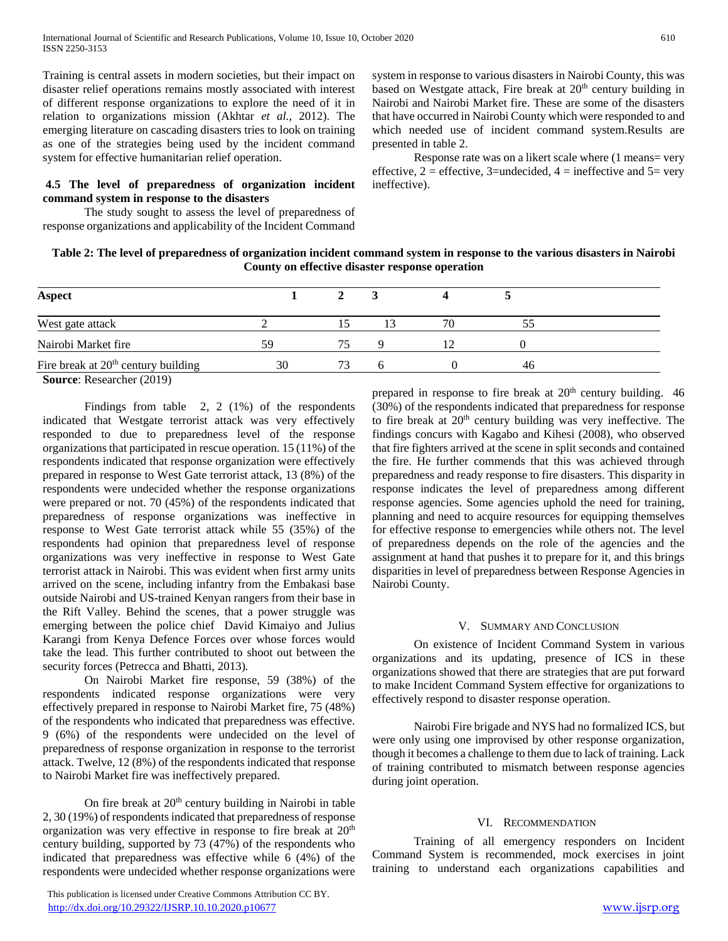Training is central assets in modern societies, but their impact on disaster relief operations remains mostly associated with interest of different response organizations to explore the need of it in relation to organizations mission (Akhtar *et al.,* 2012). The emerging literature on cascading disasters tries to look on training as one of the strategies being used by the incident command system for effective humanitarian relief operation.

## **4.5 The level of preparedness of organization incident command system in response to the disasters**

 The study sought to assess the level of preparedness of response organizations and applicability of the Incident Command system in response to various disasters in Nairobi County, this was based on Westgate attack, Fire break at 20<sup>th</sup> century building in Nairobi and Nairobi Market fire. These are some of the disasters that have occurred in Nairobi County which were responded to and which needed use of incident command system.Results are presented in table 2.

 Response rate was on a likert scale where (1 means= very effective,  $2 =$  effective, 3=undecided,  $4 =$  ineffective and  $5 =$  very ineffective).

| Table 2: The level of preparedness of organization incident command system in response to the various disasters in Nairobi |
|----------------------------------------------------------------------------------------------------------------------------|
| County on effective disaster response operation                                                                            |

| <b>Aspect</b>                                 |    |    |     |    |  |
|-----------------------------------------------|----|----|-----|----|--|
| West gate attack                              |    |    | 70. |    |  |
| Nairobi Market fire                           | 59 | 75 |     |    |  |
| Fire break at $20th$ century building         | 30 | 73 |     | 46 |  |
| $\mathbb{C}_{\text{average}}$ December (2010) |    |    |     |    |  |

**Source**: Researcher (2019)

 Findings from table 2, 2 (1%) of the respondents indicated that Westgate terrorist attack was very effectively responded to due to preparedness level of the response organizations that participated in rescue operation. 15 (11%) of the respondents indicated that response organization were effectively prepared in response to West Gate terrorist attack, 13 (8%) of the respondents were undecided whether the response organizations were prepared or not. 70 (45%) of the respondents indicated that preparedness of response organizations was ineffective in response to West Gate terrorist attack while 55 (35%) of the respondents had opinion that preparedness level of response organizations was very ineffective in response to West Gate terrorist attack in Nairobi. This was evident when first army units arrived on the scene, including infantry from the Embakasi base outside Nairobi and US-trained Kenyan rangers from their base in the Rift Valley. Behind the scenes, that a power struggle was emerging between the police chief David Kimaiyo and Julius Karangi from Kenya Defence Forces over whose forces would take the lead. This further contributed to shoot out between the security forces (Petrecca and Bhatti, 2013)*.*

 On Nairobi Market fire response, 59 (38%) of the respondents indicated response organizations were very effectively prepared in response to Nairobi Market fire, 75 (48%) of the respondents who indicated that preparedness was effective. 9 (6%) of the respondents were undecided on the level of preparedness of response organization in response to the terrorist attack. Twelve, 12 (8%) of the respondents indicated that response to Nairobi Market fire was ineffectively prepared.

On fire break at 20<sup>th</sup> century building in Nairobi in table 2, 30 (19%) of respondents indicated that preparedness of response organization was very effective in response to fire break at 20<sup>th</sup> century building, supported by 73 (47%) of the respondents who indicated that preparedness was effective while 6 (4%) of the respondents were undecided whether response organizations were

 This publication is licensed under Creative Commons Attribution CC BY. <http://dx.doi.org/10.29322/IJSRP.10.10.2020.p10677> [www.ijsrp.org](http://ijsrp.org/)

prepared in response to fire break at 20<sup>th</sup> century building. 46 (30%) of the respondents indicated that preparedness for response to fire break at  $20<sup>th</sup>$  century building was very ineffective. The findings concurs with Kagabo and Kihesi (2008), who observed that fire fighters arrived at the scene in split seconds and contained the fire. He further commends that this was achieved through preparedness and ready response to fire disasters. This disparity in response indicates the level of preparedness among different response agencies. Some agencies uphold the need for training, planning and need to acquire resources for equipping themselves for effective response to emergencies while others not. The level of preparedness depends on the role of the agencies and the assignment at hand that pushes it to prepare for it, and this brings disparities in level of preparedness between Response Agencies in Nairobi County.

#### V. SUMMARY AND CONCLUSION

 On existence of Incident Command System in various organizations and its updating, presence of ICS in these organizations showed that there are strategies that are put forward to make Incident Command System effective for organizations to effectively respond to disaster response operation.

 Nairobi Fire brigade and NYS had no formalized ICS, but were only using one improvised by other response organization, though it becomes a challenge to them due to lack of training. Lack of training contributed to mismatch between response agencies during joint operation.

#### VI. RECOMMENDATION

 Training of all emergency responders on Incident Command System is recommended, mock exercises in joint training to understand each organizations capabilities and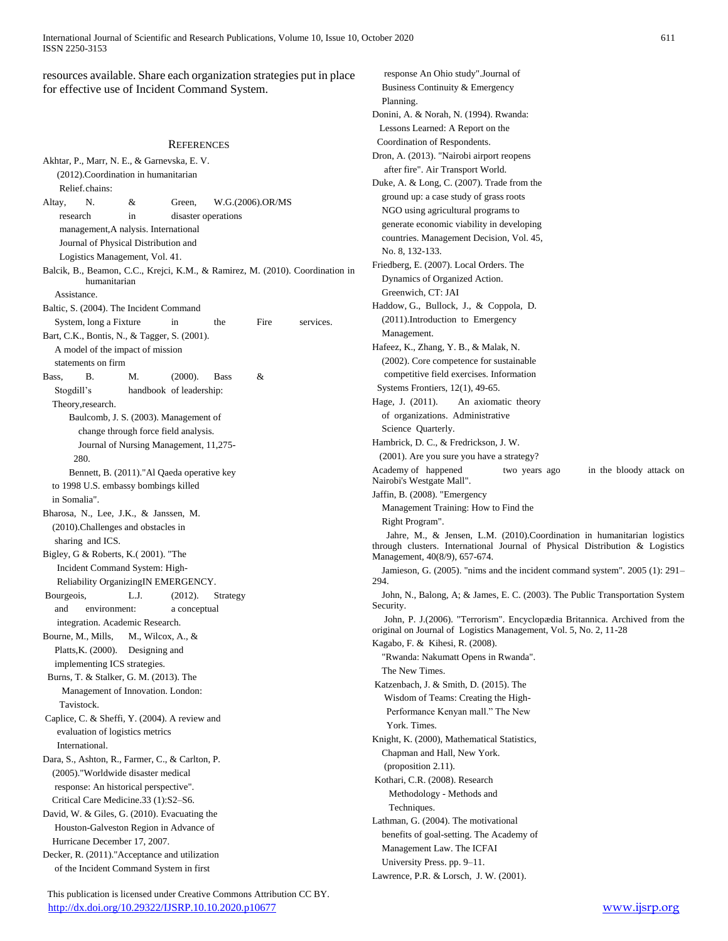resources available. Share each organization strategies put in place for effective use of Incident Command System.

#### **REFERENCES**

|            | Relief.chains:               | Akhtar, P., Marr, N. E., & Garnevska, E. V.<br>(2012). Coordination in humanitarian |                         |             |                  |                                                                               |
|------------|------------------------------|-------------------------------------------------------------------------------------|-------------------------|-------------|------------------|-------------------------------------------------------------------------------|
|            |                              |                                                                                     |                         |             |                  |                                                                               |
| Altay,     | N.                           | &                                                                                   | Green,                  |             | W.G.(2006).OR/MS |                                                                               |
|            | research                     | in                                                                                  | disaster operations     |             |                  |                                                                               |
|            |                              | management, A nalysis. International                                                |                         |             |                  |                                                                               |
|            |                              | Journal of Physical Distribution and                                                |                         |             |                  |                                                                               |
|            |                              | Logistics Management, Vol. 41.                                                      |                         |             |                  |                                                                               |
|            | humanitarian                 |                                                                                     |                         |             |                  | Balcik, B., Beamon, C.C., Krejci, K.M., & Ramirez, M. (2010). Coordination in |
|            | Assistance.                  |                                                                                     |                         |             |                  |                                                                               |
|            |                              | Baltic, S. (2004). The Incident Command                                             |                         |             |                  |                                                                               |
|            | System, long a Fixture       |                                                                                     | in                      | the         | Fire             | services.                                                                     |
|            |                              | Bart, C.K., Bontis, N., & Tagger, S. (2001).                                        |                         |             |                  |                                                                               |
|            |                              | A model of the impact of mission                                                    |                         |             |                  |                                                                               |
|            | statements on firm           |                                                                                     |                         |             |                  |                                                                               |
| Bass,      | В.                           | M.                                                                                  | (2000).                 | <b>Bass</b> | &                |                                                                               |
| Stogdill's |                              |                                                                                     | handbook of leadership: |             |                  |                                                                               |
|            | Theory, research.            |                                                                                     |                         |             |                  |                                                                               |
|            |                              | Baulcomb, J. S. (2003). Management of                                               |                         |             |                  |                                                                               |
|            |                              | change through force field analysis.                                                |                         |             |                  |                                                                               |
|            |                              | Journal of Nursing Management, 11,275-                                              |                         |             |                  |                                                                               |
|            | 280.                         |                                                                                     |                         |             |                  |                                                                               |
|            |                              | Bennett, B. (2011)."Al Qaeda operative key                                          |                         |             |                  |                                                                               |
|            |                              | to 1998 U.S. embassy bombings killed                                                |                         |             |                  |                                                                               |
|            | in Somalia".                 |                                                                                     |                         |             |                  |                                                                               |
|            |                              | Bharosa, N., Lee, J.K., & Janssen, M.                                               |                         |             |                  |                                                                               |
|            |                              | (2010). Challenges and obstacles in                                                 |                         |             |                  |                                                                               |
|            | sharing and ICS.             |                                                                                     |                         |             |                  |                                                                               |
|            |                              | Bigley, G & Roberts, K. (2001). "The                                                |                         |             |                  |                                                                               |
|            |                              | Incident Command System: High-                                                      |                         |             |                  |                                                                               |
|            |                              | Reliability OrganizingIN EMERGENCY.                                                 |                         |             |                  |                                                                               |
| Bourgeois, |                              | L.J.                                                                                | (2012).                 | Strategy    |                  |                                                                               |
| and        | environment:                 |                                                                                     | a conceptual            |             |                  |                                                                               |
|            |                              | integration. Academic Research.                                                     |                         |             |                  |                                                                               |
|            | Bourne, M., Mills,           | M., Wilcox, A., $\&$                                                                |                         |             |                  |                                                                               |
|            | Platts, K. (2000).           | Designing and                                                                       |                         |             |                  |                                                                               |
|            | implementing ICS strategies. |                                                                                     |                         |             |                  |                                                                               |
|            |                              | Burns, T. & Stalker, G. M. (2013). The                                              |                         |             |                  |                                                                               |
|            |                              | Management of Innovation. London:                                                   |                         |             |                  |                                                                               |
|            |                              |                                                                                     |                         |             |                  |                                                                               |
|            | Tavistock.                   |                                                                                     |                         |             |                  |                                                                               |
|            |                              | Caplice, C. & Sheffi, Y. (2004). A review and                                       |                         |             |                  |                                                                               |
|            |                              | evaluation of logistics metrics                                                     |                         |             |                  |                                                                               |
|            | International.               |                                                                                     |                         |             |                  |                                                                               |
|            |                              | Dara, S., Ashton, R., Farmer, C., & Carlton, P.                                     |                         |             |                  |                                                                               |
|            |                              | (2005). "Worldwide disaster medical                                                 |                         |             |                  |                                                                               |
|            |                              | response: An historical perspective".                                               |                         |             |                  |                                                                               |
|            |                              | Critical Care Medicine.33 (1):S2-S6.                                                |                         |             |                  |                                                                               |
|            |                              | David, W. & Giles, G. (2010). Evacuating the                                        |                         |             |                  |                                                                               |
|            |                              | Houston-Galveston Region in Advance of                                              |                         |             |                  |                                                                               |
|            |                              | Hurricane December 17, 2007.                                                        |                         |             |                  |                                                                               |
|            |                              | Decker, R. (2011). "Acceptance and utilization                                      |                         |             |                  |                                                                               |
|            |                              | of the Incident Command System in first                                             |                         |             |                  |                                                                               |

 This publication is licensed under Creative Commons Attribution CC BY. <http://dx.doi.org/10.29322/IJSRP.10.10.2020.p10677> [www.ijsrp.org](http://ijsrp.org/)

 response An Ohio study".Journal of Business Continuity & Emergency Planning. Donini, A. & Norah, N. (1994). Rwanda: Lessons Learned: A Report on the Coordination of Respondents. Dron, A. (2013). "Nairobi airport reopens after fire". Air Transport World. Duke, A. & Long, C. (2007). Trade from the ground up: a case study of grass roots NGO using agricultural programs to generate economic viability in developing countries. Management Decision, Vol. 45, No. 8, 132-133. Friedberg, E. (2007). Local Orders. The Dynamics of Organized Action. Greenwich, CT: JAI Haddow, G., Bullock, J., & Coppola, D. (2011).Introduction to Emergency Management. Hafeez, K., Zhang, Y. B., & Malak, N. (2002). Core competence for sustainable competitive field exercises. Information Systems Frontiers, 12(1), 49-65. Hage, J. (2011). An axiomatic theory of organizations. Administrative Science Quarterly. Hambrick, D. C., & Fredrickson, J. W. (2001). Are you sure you have a strategy? Academy of happened two years ago in the bloody attack on Nairobi's Westgate Mall". Jaffin, B. (2008). "Emergency Management Training: How to Find the Right Program". Jahre, M., & Jensen, L.M. (2010).Coordination in humanitarian logistics through clusters. International Journal of Physical Distribution & Logistics Management, 40(8/9), 657-674. Jamieson, G. (2005). "nims and the incident command system". 2005 (1): 291– 294. John, N., Balong, A; & James, E. C. (2003). The Public Transportation System Security. John, P. J.(2006). "Terrorism". Encyclopædia Britannica. Archived from the original on Journal of Logistics Management, Vol. 5, No. 2, 11-28 Kagabo, F. & Kihesi, R. (2008). "Rwanda: Nakumatt Opens in Rwanda". The New Times. Katzenbach, J. & Smith, D. (2015). The Wisdom of Teams: Creating the High- Performance Kenyan mall." The New York. Times. Knight, K. (2000), Mathematical Statistics, Chapman and Hall, New York. (proposition 2.11). Kothari, C.R. (2008). Research Methodology - Methods and Techniques. Lathman, G. (2004). The motivational benefits of goal-setting. The Academy of Management Law. The ICFAI University Press. pp. 9–11.

Lawrence, P.R. & Lorsch, J. W. (2001).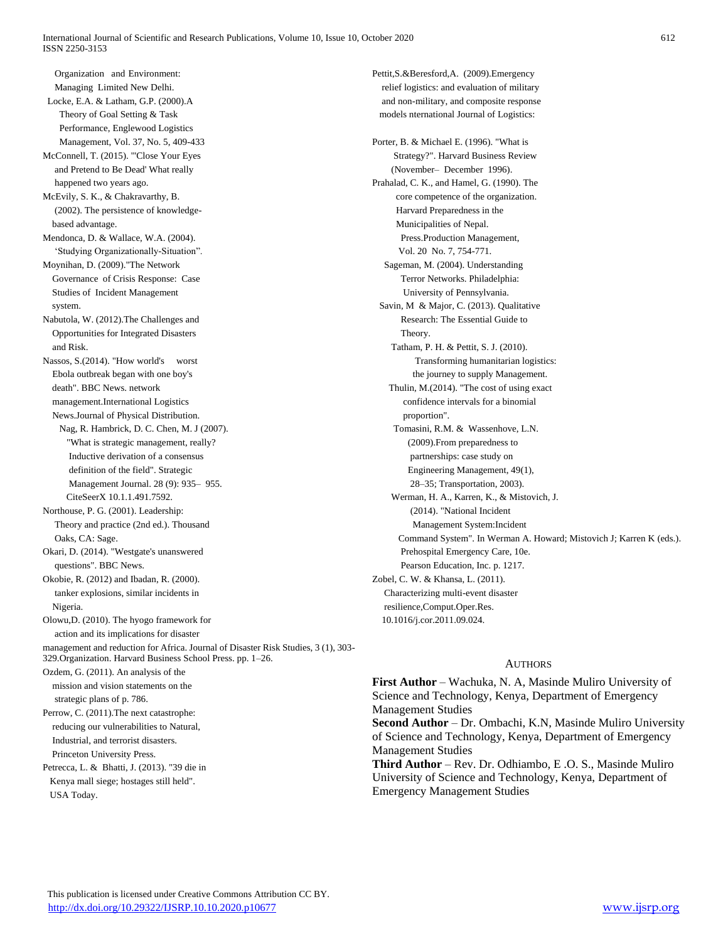Organization and Environment: Managing Limited New Delhi. Locke, E.A. & Latham, G.P. (2000).A Theory of Goal Setting & Task Performance, Englewood Logistics Management, Vol. 37, No. 5, 409-433 McConnell, T. (2015). "'Close Your Eyes and Pretend to Be Dead' What really happened two years ago. McEvily, S. K., & Chakravarthy, B. (2002). The persistence of knowledge based advantage. Mendonca, D. & Wallace, W.A. (2004). 'Studying Organizationally-Situation". Moynihan, D. (2009)."The Network Governance of Crisis Response: Case Studies of Incident Management system. Nabutola, W. (2012).The Challenges and Opportunities for Integrated Disasters and Risk. Nassos, S.(2014). "How world's worst Ebola outbreak began with one boy's death". BBC News. network management.International Logistics News.Journal of Physical Distribution. Nag, R. Hambrick, D. C. Chen, M. J (2007). "What is strategic management, really? Inductive derivation of a consensus definition of the field". Strategic Management Journal. 28 (9): 935– 955. CiteSeerX 10.1.1.491.7592. Northouse, P. G. (2001). Leadership: Theory and practice (2nd ed.). Thousand Oaks, CA: Sage. Okari, D. (2014). "Westgate's unanswered questions". BBC News. Okobie, R. (2012) and Ibadan, R. (2000). tanker explosions, similar incidents in Nigeria. Olowu,D. (2010). The hyogo framework for action and its implications for disaster management and reduction for Africa. Journal of Disaster Risk Studies, 3 (1), 303- 329.Organization. Harvard Business School Press. pp. 1–26. Ozdem, G. (2011). An analysis of the mission and vision statements on the strategic plans of p. 786. Perrow, C. (2011).The next catastrophe: reducing our vulnerabilities to Natural, Industrial, and terrorist disasters. Princeton University Press. Petrecca, L. & Bhatti, J. (2013). "39 die in Kenya mall siege; hostages still held". USA Today.

Pettit,S.&Beresford,A. (2009).Emergency relief logistics: and evaluation of military and non-military, and composite response models nternational Journal of Logistics: Porter, B. & Michael E. (1996). "What is Strategy?". Harvard Business Review (November– December 1996). Prahalad, C. K., and Hamel, G. (1990). The core competence of the organization. Harvard Preparedness in the Municipalities of Nepal. Press.Production Management, Vol. 20 No. 7, 754-771. Sageman, M. (2004). Understanding Terror Networks. Philadelphia: University of Pennsylvania. Savin, M & Major, C. (2013). Qualitative Research: The Essential Guide to Theory. Tatham, P. H. & Pettit, S. J. (2010). Transforming humanitarian logistics: the journey to supply Management. Thulin, M.(2014). "The cost of using exact confidence intervals for a binomial proportion". Tomasini, R.M. & Wassenhove, L.N. (2009).From preparedness to partnerships: case study on Engineering Management, 49(1), 28–35; Transportation, 2003). Werman, H. A., Karren, K., & Mistovich, J. (2014). "National Incident Management System:Incident Command System". In Werman A. Howard; Mistovich J; Karren K (eds.). Prehospital Emergency Care, 10e. Pearson Education, Inc. p. 1217. Zobel, C. W. & Khansa, L. (2011). Characterizing multi-event disaster resilience,Comput.Oper.Res. 10.1016/j.cor.2011.09.024.

#### **AUTHORS**

**First Author** – Wachuka, N. A, Masinde Muliro University of Science and Technology, Kenya, Department of Emergency Management Studies **Second Author** – Dr. Ombachi, K.N, Masinde Muliro University

of Science and Technology, Kenya, Department of Emergency Management Studies

**Third Author** – Rev. Dr. Odhiambo, E .O. S., Masinde Muliro University of Science and Technology, Kenya, Department of Emergency Management Studies